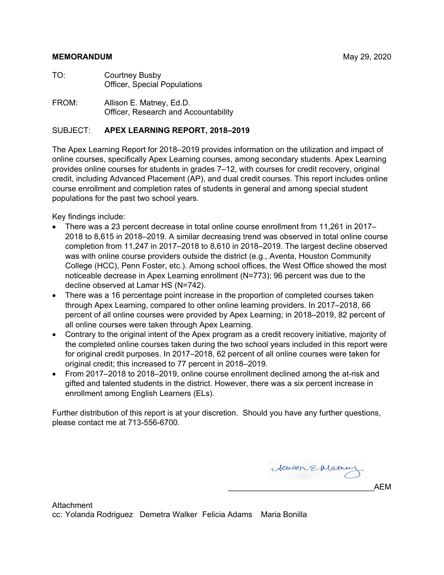#### **MEMORANDUM** May 29, 2020

- TO: Courtney Busby Officer, Special Populations
- FROM: Allison E. Matney, Ed.D. Officer, Research and Accountability

#### SUBJECT: **APEX LEARNING REPORT, 2018–2019**

The Apex Learning Report for 2018–2019 provides information on the utilization and impact of online courses, specifically Apex Learning courses, among secondary students. Apex Learning provides online courses for students in grades 7–12, with courses for credit recovery, original credit, including Advanced Placement (AP), and dual credit courses. This report includes online course enrollment and completion rates of students in general and among special student populations for the past two school years.

Key findings include:

- There was a 23 percent decrease in total online course enrollment from 11,261 in 2017– 2018 to 8,615 in 2018–2019. A similar decreasing trend was observed in total online course completion from 11,247 in 2017–2018 to 8,610 in 2018–2019. The largest decline observed was with online course providers outside the district (e.g., Aventa, Houston Community College (HCC), Penn Foster, etc.). Among school offices, the West Office showed the most noticeable decrease in Apex Learning enrollment (N=773); 96 percent was due to the decline observed at Lamar HS (N=742).
- There was a 16 percentage point increase in the proportion of completed courses taken through Apex Learning, compared to other online learning providers. In 2017–2018, 66 percent of all online courses were provided by Apex Learning; in 2018–2019, 82 percent of all online courses were taken through Apex Learning.
- Contrary to the original intent of the Apex program as a credit recovery initiative, majority of the completed online courses taken during the two school years included in this report were for original credit purposes. In 2017–2018, 62 percent of all online courses were taken for original credit; this increased to 77 percent in 2018–2019.
- From 2017–2018 to 2018–2019, online course enrollment declined among the at-risk and gifted and talented students in the district. However, there was a six percent increase in enrollment among English Learners (ELs).

Further distribution of this report is at your discretion. Should you have any further questions, please contact me at 713-556-6700.

Allison EMatney \_\_\_\_\_\_\_\_\_\_\_\_\_\_\_\_\_\_\_\_\_\_\_\_\_\_\_\_\_\_\_\_\_AEM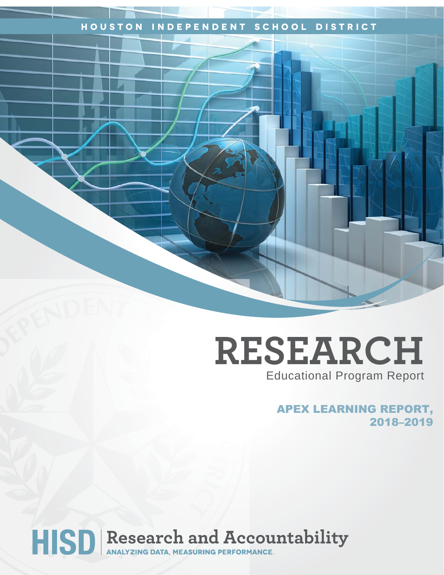# **Houston Independent School District**

# **RESEARCH** Educational Program Report

APEX LEARNING REPORT, 2018–2019

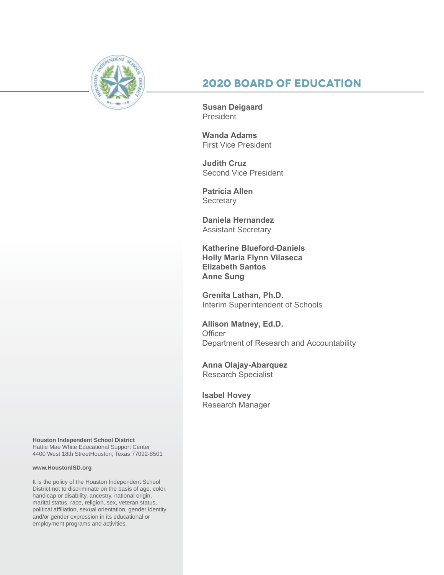

# **2020 Board of Education**

**Susan Deigaard** President

**Wanda Adams** First Vice President

**Judith Cruz**  Second Vice President

**Patricia Allen Secretary** 

**Daniela Hernandez** Assistant Secretary

**Katherine Blueford-Daniels Holly Maria Flynn Vilaseca Elizabeth Santos Anne Sung**

**Grenita Lathan, Ph.D.**  Interim Superintendent of Schools

**Allison Matney, Ed.D. Officer** Department of Research and Accountability

**Anna Olajay-Abarquez** Research Specialist

**Isabel Hovey** Research Manager

**Houston Independent School District** Hattie Mae White Educational Support Center 4400 West 18th StreetHouston, Texas 77092-8501

#### **www.HoustonISD.org**

It is the policy of the Houston Independent School District not to discriminate on the basis of age, color, handicap or disability, ancestry, national origin, marital status, race, religion, sex, veteran status, political affiliation, sexual orientation, gender identity and/or gender expression in its educational or employment programs and activities.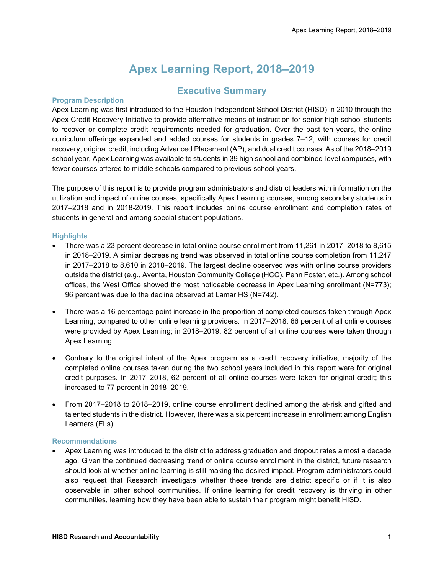# **Apex Learning Report, 2018–2019**

# **Executive Summary**

#### **Program Description**

Apex Learning was first introduced to the Houston Independent School District (HISD) in 2010 through the Apex Credit Recovery Initiative to provide alternative means of instruction for senior high school students to recover or complete credit requirements needed for graduation. Over the past ten years, the online curriculum offerings expanded and added courses for students in grades 7–12, with courses for credit recovery, original credit, including Advanced Placement (AP), and dual credit courses. As of the 2018–2019 school year, Apex Learning was available to students in 39 high school and combined-level campuses, with fewer courses offered to middle schools compared to previous school years.

The purpose of this report is to provide program administrators and district leaders with information on the utilization and impact of online courses, specifically Apex Learning courses, among secondary students in 2017–2018 and in 2018-2019. This report includes online course enrollment and completion rates of students in general and among special student populations.

#### **Highlights**

- There was a 23 percent decrease in total online course enrollment from 11,261 in 2017–2018 to 8,615 in 2018–2019. A similar decreasing trend was observed in total online course completion from 11,247 in 2017–2018 to 8,610 in 2018–2019. The largest decline observed was with online course providers outside the district (e.g., Aventa, Houston Community College (HCC), Penn Foster, etc.). Among school offices, the West Office showed the most noticeable decrease in Apex Learning enrollment (N=773); 96 percent was due to the decline observed at Lamar HS (N=742).
- There was a 16 percentage point increase in the proportion of completed courses taken through Apex Learning, compared to other online learning providers. In 2017–2018, 66 percent of all online courses were provided by Apex Learning; in 2018–2019, 82 percent of all online courses were taken through Apex Learning.
- Contrary to the original intent of the Apex program as a credit recovery initiative, majority of the completed online courses taken during the two school years included in this report were for original credit purposes. In 2017–2018, 62 percent of all online courses were taken for original credit; this increased to 77 percent in 2018–2019.
- From 2017–2018 to 2018–2019, online course enrollment declined among the at-risk and gifted and talented students in the district. However, there was a six percent increase in enrollment among English Learners (ELs).

#### **Recommendations**

• Apex Learning was introduced to the district to address graduation and dropout rates almost a decade ago. Given the continued decreasing trend of online course enrollment in the district, future research should look at whether online learning is still making the desired impact. Program administrators could also request that Research investigate whether these trends are district specific or if it is also observable in other school communities. If online learning for credit recovery is thriving in other communities, learning how they have been able to sustain their program might benefit HISD.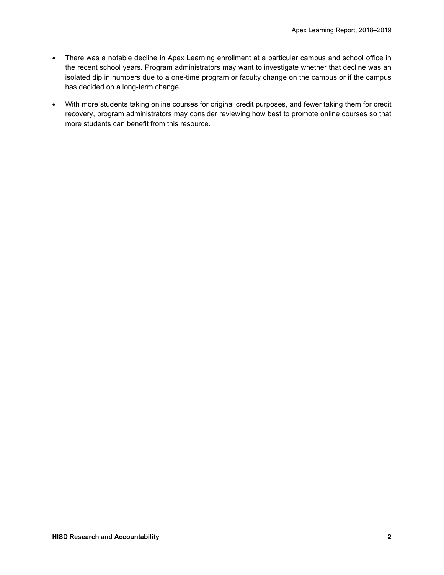- There was a notable decline in Apex Learning enrollment at a particular campus and school office in the recent school years. Program administrators may want to investigate whether that decline was an isolated dip in numbers due to a one-time program or faculty change on the campus or if the campus has decided on a long-term change.
- With more students taking online courses for original credit purposes, and fewer taking them for credit recovery, program administrators may consider reviewing how best to promote online courses so that more students can benefit from this resource.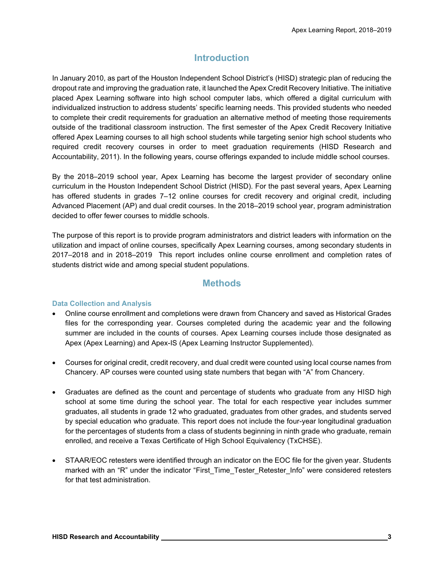# **Introduction**

In January 2010, as part of the Houston Independent School District's (HISD) strategic plan of reducing the dropout rate and improving the graduation rate, it launched the Apex Credit Recovery Initiative. The initiative placed Apex Learning software into high school computer labs, which offered a digital curriculum with individualized instruction to address students' specific learning needs. This provided students who needed to complete their credit requirements for graduation an alternative method of meeting those requirements outside of the traditional classroom instruction. The first semester of the Apex Credit Recovery Initiative offered Apex Learning courses to all high school students while targeting senior high school students who required credit recovery courses in order to meet graduation requirements (HISD Research and Accountability, 2011). In the following years, course offerings expanded to include middle school courses.

By the 2018–2019 school year, Apex Learning has become the largest provider of secondary online curriculum in the Houston Independent School District (HISD). For the past several years, Apex Learning has offered students in grades 7–12 online courses for credit recovery and original credit, including Advanced Placement (AP) and dual credit courses. In the 2018–2019 school year, program administration decided to offer fewer courses to middle schools.

The purpose of this report is to provide program administrators and district leaders with information on the utilization and impact of online courses, specifically Apex Learning courses, among secondary students in 2017–2018 and in 2018–2019 This report includes online course enrollment and completion rates of students district wide and among special student populations.

## **Methods**

#### **Data Collection and Analysis**

- Online course enrollment and completions were drawn from Chancery and saved as Historical Grades files for the corresponding year. Courses completed during the academic year and the following summer are included in the counts of courses. Apex Learning courses include those designated as Apex (Apex Learning) and Apex-IS (Apex Learning Instructor Supplemented).
- Courses for original credit, credit recovery, and dual credit were counted using local course names from Chancery. AP courses were counted using state numbers that began with "A" from Chancery.
- Graduates are defined as the count and percentage of students who graduate from any HISD high school at some time during the school year. The total for each respective year includes summer graduates, all students in grade 12 who graduated, graduates from other grades, and students served by special education who graduate. This report does not include the four-year longitudinal graduation for the percentages of students from a class of students beginning in ninth grade who graduate, remain enrolled, and receive a Texas Certificate of High School Equivalency (TxCHSE).
- STAAR/EOC retesters were identified through an indicator on the EOC file for the given year. Students marked with an "R" under the indicator "First\_Time\_Tester\_Retester\_Info" were considered retesters for that test administration.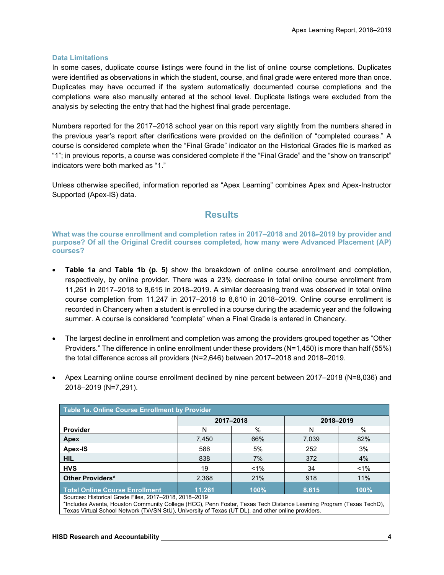#### **Data Limitations**

In some cases, duplicate course listings were found in the list of online course completions. Duplicates were identified as observations in which the student, course, and final grade were entered more than once. Duplicates may have occurred if the system automatically documented course completions and the completions were also manually entered at the school level. Duplicate listings were excluded from the analysis by selecting the entry that had the highest final grade percentage.

Numbers reported for the 2017–2018 school year on this report vary slightly from the numbers shared in the previous year's report after clarifications were provided on the definition of "completed courses." A course is considered complete when the "Final Grade" indicator on the Historical Grades file is marked as "1"; in previous reports, a course was considered complete if the "Final Grade" and the "show on transcript" indicators were both marked as "1."

Unless otherwise specified, information reported as "Apex Learning" combines Apex and Apex-Instructor Supported (Apex-IS) data.

## **Results**

**What was the course enrollment and completion rates in 2017–2018 and 2018̶–2019 by provider and purpose? Of all the Original Credit courses completed, how many were Advanced Placement (AP) courses?**

- **Table 1a** and **Table 1b (p. 5)** show the breakdown of online course enrollment and completion, respectively, by online provider. There was a 23% decrease in total online course enrollment from 11,261 in 2017–2018 to 8,615 in 2018–2019. A similar decreasing trend was observed in total online course completion from 11,247 in 2017–2018 to 8,610 in 2018–2019. Online course enrollment is recorded in Chancery when a student is enrolled in a course during the academic year and the following summer. A course is considered "complete" when a Final Grade is entered in Chancery.
- The largest decline in enrollment and completion was among the providers grouped together as "Other Providers." The difference in online enrollment under these providers (N=1,450) is more than half (55%) the total difference across all providers (N=2,646) between 2017–2018 and 2018–2019.
- Apex Learning online course enrollment declined by nine percent between 2017–2018 (N=8,036) and 2018–2019 (N=7,291).

| Table 1a. Online Course Enrollment by Provider |        |           |           |       |  |  |  |  |
|------------------------------------------------|--------|-----------|-----------|-------|--|--|--|--|
|                                                |        | 2017-2018 | 2018-2019 |       |  |  |  |  |
| Provider                                       |        | %         |           | %     |  |  |  |  |
| Apex                                           | 7,450  | 66%       | 7,039     | 82%   |  |  |  |  |
| Apex-IS                                        | 586    | 5%        | 252       | 3%    |  |  |  |  |
| <b>HIL</b>                                     | 838    | 7%        | 372       | 4%    |  |  |  |  |
| <b>HVS</b>                                     | 19     | $< 1\%$   | 34        | $1\%$ |  |  |  |  |
| <b>Other Providers*</b>                        | 2,368  | 21%       | 918       | 11%   |  |  |  |  |
| Total Online Course Enrollment                 | 11.261 | 100%      | 8.615     | 100%  |  |  |  |  |

Sources: Historical Grade Files, 2017–2018, 2018–2019

\*Includes Aventa, Houston Community College (HCC), Penn Foster, Texas Tech Distance Learning Program (Texas TechD), Texas Virtual School Network (TxVSN StU), University of Texas (UT DL), and other online providers.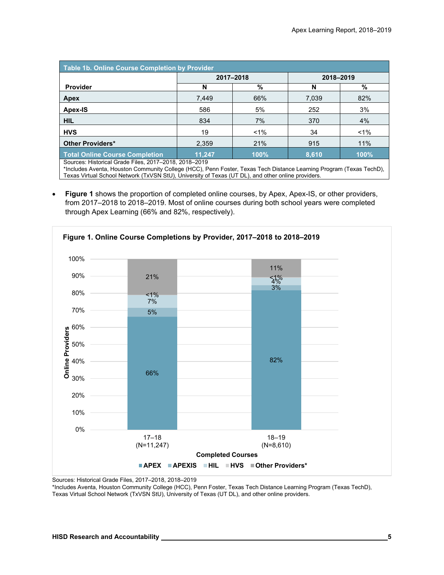| Table 1b. Online Course Completion by Provider                                                                                                                                                                                                                                                                                                                                                                   |        |           |           |       |  |  |  |  |
|------------------------------------------------------------------------------------------------------------------------------------------------------------------------------------------------------------------------------------------------------------------------------------------------------------------------------------------------------------------------------------------------------------------|--------|-----------|-----------|-------|--|--|--|--|
|                                                                                                                                                                                                                                                                                                                                                                                                                  |        | 2017-2018 | 2018-2019 |       |  |  |  |  |
| <b>Provider</b>                                                                                                                                                                                                                                                                                                                                                                                                  | N      | %         | N         | %     |  |  |  |  |
| Apex                                                                                                                                                                                                                                                                                                                                                                                                             | 7,449  | 66%       | 7,039     | 82%   |  |  |  |  |
| Apex-IS                                                                                                                                                                                                                                                                                                                                                                                                          | 586    | 5%        | 252       | 3%    |  |  |  |  |
| <b>HIL</b>                                                                                                                                                                                                                                                                                                                                                                                                       | 834    | 7%        | 370       | 4%    |  |  |  |  |
| <b>HVS</b>                                                                                                                                                                                                                                                                                                                                                                                                       | 19     | $1\%$     | 34        | $1\%$ |  |  |  |  |
| <b>Other Providers*</b>                                                                                                                                                                                                                                                                                                                                                                                          | 2,359  | 21%       | 915       | 11%   |  |  |  |  |
| <b>Total Online Course Completion</b><br>$\sim$<br>$\cdots$ , $\cdots$ , $\cdots$ , $\cdots$ , $\cdots$ , $\cdots$ , $\cdots$ , $\cdots$ , $\cdots$ , $\cdots$ , $\cdots$ , $\cdots$ , $\cdots$ , $\cdots$ , $\cdots$ , $\cdots$ , $\cdots$ , $\cdots$ , $\cdots$ , $\cdots$ , $\cdots$ , $\cdots$ , $\cdots$ , $\cdots$ , $\cdots$ , $\cdots$ , $\cdots$ , $\cdots$ , $\cdots$ , $\cdots$ , $\cdots$ , $\cdots$ | 11.247 | 100%      | 8,610     | 100%  |  |  |  |  |

Sources: Historical Grade Files, 2017–2018, 2018–2019

\*Includes Aventa, Houston Community College (HCC), Penn Foster, Texas Tech Distance Learning Program (Texas TechD), Texas Virtual School Network (TxVSN StU), University of Texas (UT DL), and other online providers.

• **Figure 1** shows the proportion of completed online courses, by Apex, Apex-IS, or other providers, from 2017–2018 to 2018–2019. Most of online courses during both school years were completed through Apex Learning (66% and 82%, respectively).



Sources: Historical Grade Files, 2017–2018, 2018–2019

\*Includes Aventa, Houston Community College (HCC), Penn Foster, Texas Tech Distance Learning Program (Texas TechD), Texas Virtual School Network (TxVSN StU), University of Texas (UT DL), and other online providers.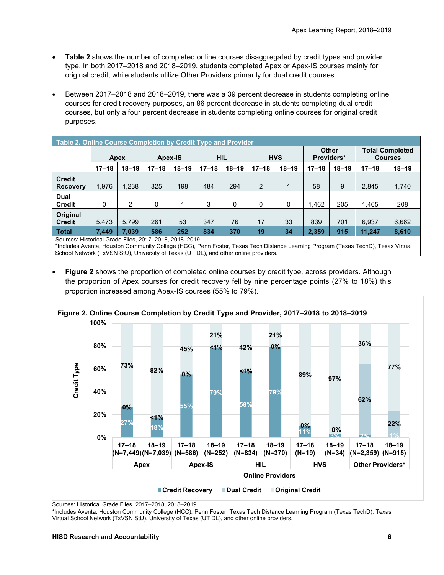- **Table 2** shows the number of completed online courses disaggregated by credit types and provider type. In both 2017–2018 and 2018–2019, students completed Apex or Apex-IS courses mainly for original credit, while students utilize Other Providers primarily for dual credit courses.
- Between 2017–2018 and 2018–2019, there was a 39 percent decrease in students completing online courses for credit recovery purposes, an 86 percent decrease in students completing dual credit courses, but only a four percent decrease in students completing online courses for original credit purposes.

| Table 2. Online Course Completion by Credit Type and Provider |           |           |                       |           |            |           |                            |           |                                          |           |           |           |
|---------------------------------------------------------------|-----------|-----------|-----------------------|-----------|------------|-----------|----------------------------|-----------|------------------------------------------|-----------|-----------|-----------|
|                                                               | Apex      |           | <b>HIL</b><br>Apex-IS |           | <b>HVS</b> |           | <b>Other</b><br>Providers* |           | <b>Total Completed</b><br><b>Courses</b> |           |           |           |
|                                                               | $17 - 18$ | $18 - 19$ | $17 - 18$             | $18 - 19$ | $17 - 18$  | $18 - 19$ | $17 - 18$                  | $18 - 19$ | $17 - 18$                                | $18 - 19$ | $17 - 18$ | $18 - 19$ |
| <b>Credit</b><br><b>Recovery</b>                              | 1.976     | 1,238     | 325                   | 198       | 484        | 294       | 2                          |           | 58                                       | 9         | 2,845     | 1,740     |
| <b>Dual</b><br><b>Credit</b>                                  | 0         | 2         | 0                     |           | 3          | 0         | 0                          | 0         | 1,462                                    | 205       | 1,465     | 208       |
| Original<br><b>Credit</b>                                     | 5,473     | 5,799     | 261                   | 53        | 347        | 76        | 17                         | 33        | 839                                      | 701       | 6,937     | 6,662     |
| <b>Total</b>                                                  | 7.449     | 7.039     | 586                   | 252       | 834        | 370       | 19                         | 34        | 2,359                                    | 915       | 11,247    | 8,610     |
| Sources: Historical Grade Files, 2017-2018, 2018-2019         |           |           |                       |           |            |           |                            |           |                                          |           |           |           |

\*Includes Aventa, Houston Community College (HCC), Penn Foster, Texas Tech Distance Learning Program (Texas TechD), Texas Virtual School Network (TxVSN StU), University of Texas (UT DL), and other online providers.

• **Figure 2** shows the proportion of completed online courses by credit type, across providers. Although the proportion of Apex courses for credit recovery fell by nine percentage points (27% to 18%) this proportion increased among Apex-IS courses (55% to 79%).



**Figure 2. Online Course Completion by Credit Type and Provider, 2017–2018 to 2018–2019**

Sources: Historical Grade Files, 2017–2018, 2018–2019

\*Includes Aventa, Houston Community College (HCC), Penn Foster, Texas Tech Distance Learning Program (Texas TechD), Texas Virtual School Network (TxVSN StU), University of Texas (UT DL), and other online providers.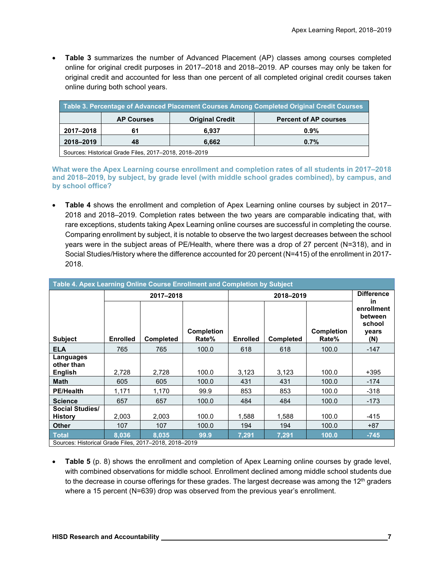• **Table 3** summarizes the number of Advanced Placement (AP) classes among courses completed online for original credit purposes in 2017–2018 and 2018–2019. AP courses may only be taken for original credit and accounted for less than one percent of all completed original credit courses taken online during both school years.

| Table 3. Percentage of Advanced Placement Courses Among Completed Original Credit Courses |                                                                             |       |         |  |  |  |  |  |
|-------------------------------------------------------------------------------------------|-----------------------------------------------------------------------------|-------|---------|--|--|--|--|--|
|                                                                                           | <b>Original Credit</b><br><b>Percent of AP courses</b><br><b>AP Courses</b> |       |         |  |  |  |  |  |
| 2017–2018                                                                                 | 61                                                                          | 6.937 | $0.9\%$ |  |  |  |  |  |
| 2018-2019                                                                                 | 48                                                                          | 6.662 | $0.7\%$ |  |  |  |  |  |
| Sources: Historical Grade Files, 2017-2018, 2018-2019                                     |                                                                             |       |         |  |  |  |  |  |

**What were the Apex Learning course enrollment and completion rates of all students in 2017–2018 and 2018–2019, by subject, by grade level (with middle school grades combined), by campus, and by school office?**

• **Table 4** shows the enrollment and completion of Apex Learning online courses by subject in 2017– 2018 and 2018–2019. Completion rates between the two years are comparable indicating that, with rare exceptions, students taking Apex Learning online courses are successful in completing the course. Comparing enrollment by subject, it is notable to observe the two largest decreases between the school years were in the subject areas of PE/Health, where there was a drop of 27 percent (N=318), and in Social Studies/History where the difference accounted for 20 percent (N=415) of the enrollment in 2017- 2018.

| Table 4. Apex Learning Online Course Enrollment and Completion by Subject |                 |                  |                                                                   |       |                   |                            |                                                        |  |  |
|---------------------------------------------------------------------------|-----------------|------------------|-------------------------------------------------------------------|-------|-------------------|----------------------------|--------------------------------------------------------|--|--|
|                                                                           |                 | 2017-2018        |                                                                   |       | <b>Difference</b> |                            |                                                        |  |  |
| <b>Subject</b>                                                            | <b>Enrolled</b> | <b>Completed</b> | <b>Completion</b><br>Rate%<br><b>Enrolled</b><br><b>Completed</b> |       |                   | <b>Completion</b><br>Rate% | in.<br>enrollment<br>between<br>school<br>years<br>(N) |  |  |
| <b>ELA</b>                                                                | 765             | 765              | 100.0                                                             | 618   | 618               | 100.0                      | $-147$                                                 |  |  |
| Languages<br>other than<br><b>English</b>                                 | 2,728           | 2,728            | 100.0                                                             | 3,123 | 3,123             | 100.0                      | $+395$                                                 |  |  |
| <b>Math</b>                                                               | 605             | 605              | 100.0                                                             | 431   | 431               | 100.0                      | $-174$                                                 |  |  |
| <b>PE/Health</b>                                                          | 1,171           | 1.170            | 99.9                                                              | 853   | 853               | 100.0                      | $-318$                                                 |  |  |
| <b>Science</b>                                                            | 657             | 657              | 100.0                                                             | 484   | 484               | 100.0                      | $-173$                                                 |  |  |
| <b>Social Studies/</b><br><b>History</b>                                  | 2,003           | 2,003            | 100.0                                                             | 1,588 | 1.588             | 100.0                      | $-415$                                                 |  |  |
| <b>Other</b>                                                              | 107             | 107              | 100.0                                                             | 194   | 194               | 100.0                      | $+87$                                                  |  |  |
| <b>Total</b>                                                              | 8.036           | 8.035            | 99.9                                                              | 7,291 | 7,291             | 100.0                      | $-745$                                                 |  |  |
| Sources: Historical Grade Files, 2017-2018, 2018-2019                     |                 |                  |                                                                   |       |                   |                            |                                                        |  |  |

• **Table 5** (p. 8) shows the enrollment and completion of Apex Learning online courses by grade level, with combined observations for middle school. Enrollment declined among middle school students due to the decrease in course offerings for these grades. The largest decrease was among the  $12<sup>th</sup>$  graders where a 15 percent (N=639) drop was observed from the previous year's enrollment.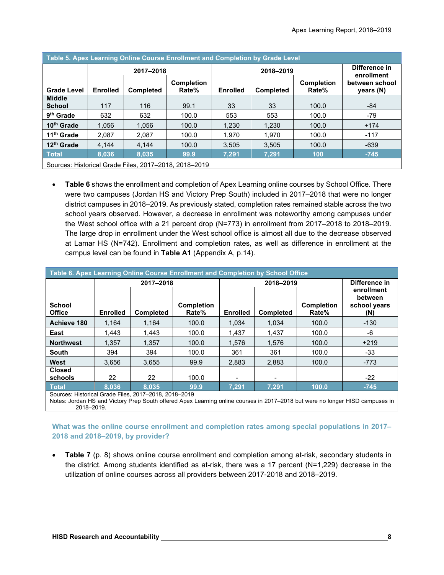| Table 5. Apex Learning Online Course Enrollment and Completion by Grade Level |                 |                  |                                                       |                 |                  |                            |                             |  |  |
|-------------------------------------------------------------------------------|-----------------|------------------|-------------------------------------------------------|-----------------|------------------|----------------------------|-----------------------------|--|--|
|                                                                               | 2017-2018       |                  |                                                       |                 | 2018-2019        |                            | Difference in<br>enrollment |  |  |
| <b>Grade Level</b>                                                            | <b>Enrolled</b> | <b>Completed</b> | <b>Completion</b><br>Rate%                            | <b>Enrolled</b> | <b>Completed</b> | <b>Completion</b><br>Rate% | between school<br>years (N) |  |  |
| <b>Middle</b><br><b>School</b>                                                | 117             | 116              | 99.1                                                  | 33              | 33               | 100.0                      | -84                         |  |  |
| 9 <sup>th</sup> Grade                                                         | 632             | 632              | 100.0                                                 | 553             | 553              | 100.0                      | $-79$                       |  |  |
| 10 <sup>th</sup> Grade                                                        | 1.056           | 1.056            | 100.0                                                 | 1.230           | 1,230            | 100.0                      | $+174$                      |  |  |
| 11 <sup>th</sup> Grade                                                        | 2.087           | 2.087            | 100.0                                                 | 1.970           | 1.970            | 100.0                      | $-117$                      |  |  |
| 12 <sup>th</sup> Grade                                                        | 4.144           | 4.144            | 100.0                                                 | 3.505           | 3.505            | 100.0                      | $-639$                      |  |  |
| <b>Total</b>                                                                  | 8.036           | 8.035            | 99.9                                                  | 7,291           | 7,291            | 100                        | $-745$                      |  |  |
|                                                                               |                 |                  | Sources: Historical Grade Files, 2017-2018, 2018-2019 |                 |                  |                            |                             |  |  |

• **Table 6** shows the enrollment and completion of Apex Learning online courses by School Office. There were two campuses (Jordan HS and Victory Prep South) included in 2017–2018 that were no longer district campuses in 2018–2019. As previously stated, completion rates remained stable across the two school years observed. However, a decrease in enrollment was noteworthy among campuses under the West school office with a 21 percent drop (N=773) in enrollment from 2017–2018 to 2018–2019. The large drop in enrollment under the West school office is almost all due to the decrease observed at Lamar HS (N=742). Enrollment and completion rates, as well as difference in enrollment at the campus level can be found in **Table A1** (Appendix A, p.14).

| Table 6. Apex Learning Online Course Enrollment and Completion by School Office |                 |                  |                            |                 |                  |                            |                                              |  |  |
|---------------------------------------------------------------------------------|-----------------|------------------|----------------------------|-----------------|------------------|----------------------------|----------------------------------------------|--|--|
|                                                                                 |                 | 2017-2018        |                            |                 | 2018-2019        |                            | Difference in                                |  |  |
| <b>School</b><br><b>Office</b>                                                  | <b>Enrolled</b> | <b>Completed</b> | <b>Completion</b><br>Rate% | <b>Enrolled</b> | <b>Completed</b> | <b>Completion</b><br>Rate% | enrollment<br>between<br>school years<br>(N) |  |  |
| Achieve 180                                                                     | 1.164           | 1.164            | 100.0                      | 1.034           | 1.034            | 100.0                      | $-130$                                       |  |  |
| East                                                                            | 1.443           | 1.443            | 100.0                      | 1.437           | 1,437            | 100.0                      | -6                                           |  |  |
| <b>Northwest</b>                                                                | 1.357           | 1.357            | 100.0                      | 1.576           | 1.576            | 100.0                      | $+219$                                       |  |  |
| <b>South</b>                                                                    | 394             | 394              | 100.0                      | 361             | 361              | 100.0                      | -33                                          |  |  |
| West                                                                            | 3.656           | 3,655            | 99.9                       | 2.883           | 2.883            | 100.0                      | $-773$                                       |  |  |
| <b>Closed</b><br>schools                                                        | 22              | 22               | 100.0                      | -               |                  |                            | $-22$                                        |  |  |
| <b>Total</b>                                                                    | 8.036           | 8.035            | 99.9                       | 7.291           | 7.291            | 100.0                      | $-745$                                       |  |  |
| Sources: Historical Grade Files, 2017-2018, 2018-2010                           |                 |                  |                            |                 |                  |                            |                                              |  |  |

Sources: Historical Grade Files, 2017–2018, 2018–2019

Notes: Jordan HS and Victory Prep South offered Apex Learning online courses in 2017–2018 but were no longer HISD campuses in 2018–2019.

**What was the online course enrollment and completion rates among special populations in 2017– 2018 and 2018–2019, by provider?**

• **Table 7** (p. 8) shows online course enrollment and completion among at-risk, secondary students in the district. Among students identified as at-risk, there was a 17 percent (N=1,229) decrease in the utilization of online courses across all providers between 2017-2018 and 2018–2019.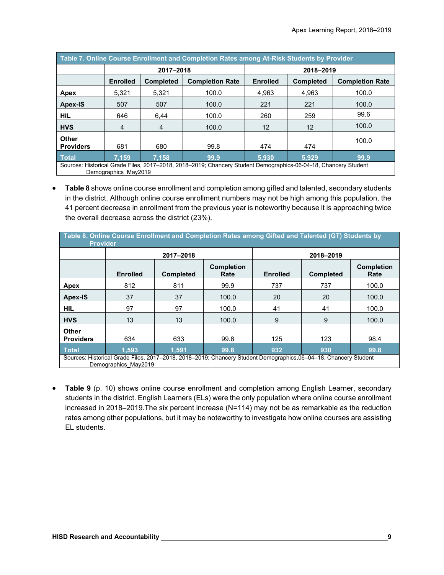| Table 7. Online Course Enrollment and Completion Rates among At-Risk Students by Provider |                      |                                            |                                                                                                                 |                 |                  |                        |  |  |  |
|-------------------------------------------------------------------------------------------|----------------------|--------------------------------------------|-----------------------------------------------------------------------------------------------------------------|-----------------|------------------|------------------------|--|--|--|
|                                                                                           |                      | 2017-2018                                  |                                                                                                                 |                 | 2018-2019        |                        |  |  |  |
|                                                                                           | <b>Enrolled</b>      | <b>Completion Rate</b><br><b>Completed</b> |                                                                                                                 | <b>Enrolled</b> | <b>Completed</b> | <b>Completion Rate</b> |  |  |  |
| Apex                                                                                      | 5,321                | 5,321                                      | 100.0                                                                                                           | 4.963           | 4.963            | 100.0                  |  |  |  |
| <b>Apex-IS</b>                                                                            | 507                  | 507                                        | 100.0                                                                                                           | 221             | 221              | 100.0                  |  |  |  |
| HIL.                                                                                      | 646                  | 6,44                                       | 100.0                                                                                                           | 260             | 259              | 99.6                   |  |  |  |
| <b>HVS</b>                                                                                | 4                    | 4                                          | 100.0                                                                                                           | 12              | 12               | 100.0                  |  |  |  |
| <b>Other</b><br><b>Providers</b>                                                          | 681                  | 680                                        | 99.8                                                                                                            | 474             | 474              | 100.0                  |  |  |  |
| <b>Total</b>                                                                              | 7.159                | 7.158                                      | 99.9                                                                                                            | 5.930           | 5.929            | 99.9                   |  |  |  |
|                                                                                           | Demographics May2019 |                                            | Sources: Historical Grade Files, 2017-2018, 2018-2019; Chancery Student Demographics-06-04-18, Chancery Student |                 |                  |                        |  |  |  |

• **Table 8** shows online course enrollment and completion among gifted and talented, secondary students in the district. Although online course enrollment numbers may not be high among this population, the 41 percent decrease in enrollment from the previous year is noteworthy because it is approaching twice the overall decrease across the district (23%).

| Table 8. Online Course Enrollment and Completion Rates among Gifted and Talented (GT) Students by<br><b>Provider</b> |                      |                                                                                                                  |                           |                 |                  |                           |  |  |  |
|----------------------------------------------------------------------------------------------------------------------|----------------------|------------------------------------------------------------------------------------------------------------------|---------------------------|-----------------|------------------|---------------------------|--|--|--|
|                                                                                                                      |                      | 2017-2018                                                                                                        |                           |                 | 2018-2019        |                           |  |  |  |
|                                                                                                                      | <b>Enrolled</b>      | <b>Completed</b>                                                                                                 | <b>Completion</b><br>Rate | <b>Enrolled</b> | <b>Completed</b> | <b>Completion</b><br>Rate |  |  |  |
| Apex                                                                                                                 | 812                  | 811                                                                                                              | 99.9                      | 737             | 737              | 100.0                     |  |  |  |
| <b>Apex-IS</b>                                                                                                       | 37                   | 37                                                                                                               | 100.0                     | 20              | 20               | 100.0                     |  |  |  |
| <b>HIL</b>                                                                                                           | 97                   | 97                                                                                                               | 100.0                     | 41              | 41               | 100.0                     |  |  |  |
| <b>HVS</b>                                                                                                           | 13                   | 13                                                                                                               | 100.0                     | 9               | 9                | 100.0                     |  |  |  |
| <b>Other</b><br><b>Providers</b>                                                                                     | 634                  | 633                                                                                                              | 99.8                      | 125             | 123              | 98.4                      |  |  |  |
| <b>Total</b>                                                                                                         | 1.593                | 1.591                                                                                                            | 99.8                      | 932             | 930              | 99.8                      |  |  |  |
|                                                                                                                      | Demographics May2019 | Sources: Historical Grade Files, 2017–2018, 2018–2019; Chancery Student Demographics, 06–04–18, Chancery Student |                           |                 |                  |                           |  |  |  |

• **Table 9** (p. 10) shows online course enrollment and completion among English Learner, secondary students in the district. English Learners (ELs) were the only population where online course enrollment increased in 2018–2019.The six percent increase (N=114) may not be as remarkable as the reduction rates among other populations, but it may be noteworthy to investigate how online courses are assisting EL students.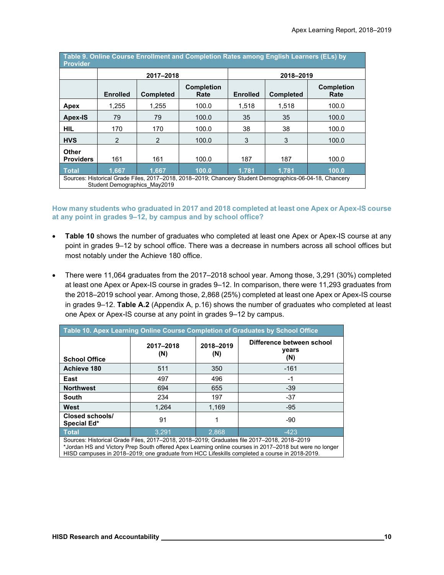| Table 9. Online Course Enrollment and Completion Rates among English Learners (ELs) by<br><b>Provider</b> |                              |                  |                                                                                                         |                 |                  |                           |  |  |
|-----------------------------------------------------------------------------------------------------------|------------------------------|------------------|---------------------------------------------------------------------------------------------------------|-----------------|------------------|---------------------------|--|--|
|                                                                                                           |                              | 2017-2018        |                                                                                                         |                 | 2018-2019        |                           |  |  |
|                                                                                                           | <b>Enrolled</b>              | <b>Completed</b> | <b>Completion</b><br>Rate                                                                               | <b>Enrolled</b> | <b>Completed</b> | <b>Completion</b><br>Rate |  |  |
| Apex                                                                                                      | 1,255                        | 1.255            | 100.0                                                                                                   | 1,518           | 1,518            | 100.0                     |  |  |
| Apex-IS                                                                                                   | 79                           | 79               | 100.0                                                                                                   | 35              | 35               | 100.0                     |  |  |
| <b>HIL</b>                                                                                                | 170                          | 170              | 100.0                                                                                                   | 38              | 38               | 100.0                     |  |  |
| <b>HVS</b>                                                                                                | 2                            | 2                | 100.0                                                                                                   | 3               | 3                | 100.0                     |  |  |
| <b>Other</b><br><b>Providers</b>                                                                          | 161                          | 161              | 100.0                                                                                                   | 187             | 187              | 100.0                     |  |  |
| <b>Total</b>                                                                                              | 1.667                        | 1.667            | 100.0                                                                                                   | 1.781           | 1.781            | 100.0                     |  |  |
|                                                                                                           | Student Demographics May2019 |                  | Sources: Historical Grade Files, 2017–2018, 2018–2019; Chancery Student Demographics-06-04-18, Chancery |                 |                  |                           |  |  |

**How many students who graduated in 2017 and 2018 completed at least one Apex or Apex-IS course at any point in grades 9–12, by campus and by school office?**

- Table 10 shows the number of graduates who completed at least one Apex or Apex-IS course at any point in grades 9–12 by school office. There was a decrease in numbers across all school offices but most notably under the Achieve 180 office.
- There were 11,064 graduates from the 2017–2018 school year. Among those, 3,291 (30%) completed at least one Apex or Apex-IS course in grades 9–12. In comparison, there were 11,293 graduates from the 2018–2019 school year. Among those, 2,868 (25%) completed at least one Apex or Apex-IS course in grades 9–12. **Table A.2** (Appendix A, p.16) shows the number of graduates who completed at least one Apex or Apex-IS course at any point in grades 9–12 by campus.

| Table 10. Apex Learning Online Course Completion of Graduates by School Office |                  |                  |                                                                                            |  |  |  |  |  |  |
|--------------------------------------------------------------------------------|------------------|------------------|--------------------------------------------------------------------------------------------|--|--|--|--|--|--|
| <b>School Office</b>                                                           | 2017-2018<br>(N) | 2018-2019<br>(N) | Difference between school<br>years<br>(N)                                                  |  |  |  |  |  |  |
| Achieve 180                                                                    | 511              | 350              | $-161$                                                                                     |  |  |  |  |  |  |
| East                                                                           | 497              | 496              | $-1$                                                                                       |  |  |  |  |  |  |
| <b>Northwest</b>                                                               | 694              | 655              | $-39$                                                                                      |  |  |  |  |  |  |
| <b>South</b>                                                                   | 234              | 197              | $-37$                                                                                      |  |  |  |  |  |  |
| West                                                                           | 1.264            | 1,169            | $-95$                                                                                      |  |  |  |  |  |  |
| Closed schools/<br>Special Ed*                                                 | 91               |                  | -90                                                                                        |  |  |  |  |  |  |
| <b>Total</b>                                                                   | 3.291            | 2.868            | $-423$                                                                                     |  |  |  |  |  |  |
|                                                                                |                  |                  | Sources: Historical Grade Files, 2017–2018, 2018–2019; Graduates file 2017–2018, 2018–2019 |  |  |  |  |  |  |

\*Jordan HS and Victory Prep South offered Apex Learning online courses in 2017–2018 but were no longer HISD campuses in 2018–2019; one graduate from HCC Lifeskills completed a course in 2018-2019.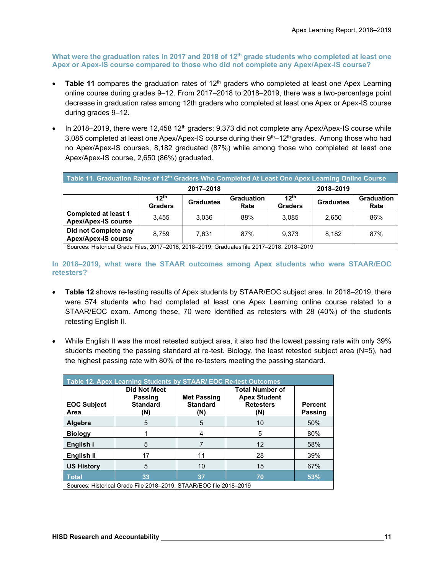**What were the graduation rates in 2017 and 2018 of 12th grade students who completed at least one Apex or Apex-IS course compared to those who did not complete any Apex/Apex-IS course?**

- Table 11 compares the graduation rates of 12<sup>th</sup> graders who completed at least one Apex Learning online course during grades 9–12. From 2017–2018 to 2018–2019, there was a two-percentage point decrease in graduation rates among 12th graders who completed at least one Apex or Apex-IS course during grades 9–12.
- In 2018–2019, there were 12,458 12<sup>th</sup> graders; 9,373 did not complete any Apex/Apex-IS course while 3,085 completed at least one Apex/Apex-IS course during their  $9<sup>th</sup>-12<sup>th</sup>$  grades. Among those who had no Apex/Apex-IS courses, 8,182 graduated (87%) while among those who completed at least one Apex/Apex-IS course, 2,650 (86%) graduated.

| Table 11. Graduation Rates of 12 <sup>th</sup> Graders Who Completed At Least One Apex Learning Online Course |                                    |                  |                           |                                    |                  |                           |  |  |  |
|---------------------------------------------------------------------------------------------------------------|------------------------------------|------------------|---------------------------|------------------------------------|------------------|---------------------------|--|--|--|
|                                                                                                               |                                    | 2017-2018        |                           | 2018-2019                          |                  |                           |  |  |  |
|                                                                                                               | 12 <sup>th</sup><br><b>Graders</b> | <b>Graduates</b> | <b>Graduation</b><br>Rate | 12 <sup>th</sup><br><b>Graders</b> | <b>Graduates</b> | <b>Graduation</b><br>Rate |  |  |  |
| <b>Completed at least 1</b><br><b>Apex/Apex-IS course</b>                                                     | 3.455                              | 3.036            | 88%                       | 3.085                              | 2.650            | 86%                       |  |  |  |
| Did not Complete any<br><b>Apex/Apex-IS course</b>                                                            | 8.759                              | 7.631            | 87%                       | 9.373                              | 8.182            | 87%                       |  |  |  |
| Sources: Historical Grade Files, 2017-2018, 2018-2019; Graduates file 2017-2018, 2018-2019                    |                                    |                  |                           |                                    |                  |                           |  |  |  |

**In 2018–2019, what were the STAAR outcomes among Apex students who were STAAR/EOC retesters?**

- **Table 12** shows re-testing results of Apex students by STAAR/EOC subject area. In 2018–2019, there were 574 students who had completed at least one Apex Learning online course related to a STAAR/EOC exam. Among these, 70 were identified as retesters with 28 (40%) of the students retesting English II.
- While English II was the most retested subject area, it also had the lowest passing rate with only 39% students meeting the passing standard at re-test. Biology, the least retested subject area (N=5), had the highest passing rate with 80% of the re-testers meeting the passing standard.

| Table 12. Apex Learning Students by STAAR/ EOC Re-test Outcomes    |                                                          |                                              |                                                                          |                                  |  |  |
|--------------------------------------------------------------------|----------------------------------------------------------|----------------------------------------------|--------------------------------------------------------------------------|----------------------------------|--|--|
| <b>EOC Subject</b><br>Area                                         | <b>Did Not Meet</b><br>Passing<br><b>Standard</b><br>(N) | <b>Met Passing</b><br><b>Standard</b><br>(N) | <b>Total Number of</b><br><b>Apex Student</b><br><b>Retesters</b><br>(N) | <b>Percent</b><br><b>Passing</b> |  |  |
| Algebra                                                            | 5                                                        | 5                                            | 10                                                                       | 50%                              |  |  |
| <b>Biology</b>                                                     |                                                          | 4                                            | 5                                                                        | 80%                              |  |  |
| English I                                                          | 5                                                        |                                              | 12                                                                       | 58%                              |  |  |
| English II                                                         | 17                                                       | 11                                           | 28                                                                       | 39%                              |  |  |
| <b>US History</b>                                                  | 5                                                        | 10                                           | 15                                                                       | 67%                              |  |  |
| <b>Total</b>                                                       | 33                                                       | 37                                           | 70                                                                       | 53%                              |  |  |
| Sources: Historical Grade File 2018-2019; STAAR/EOC file 2018-2019 |                                                          |                                              |                                                                          |                                  |  |  |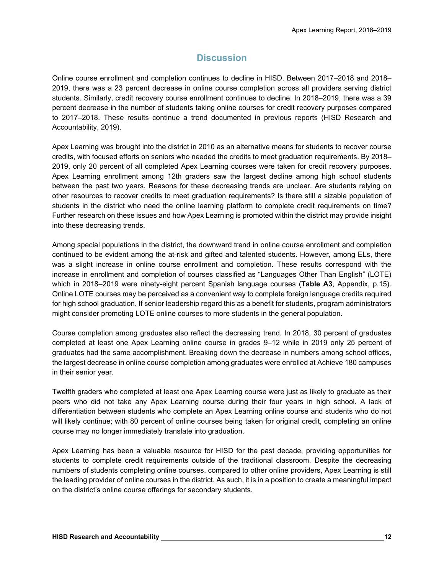# **Discussion**

Online course enrollment and completion continues to decline in HISD. Between 2017–2018 and 2018– 2019, there was a 23 percent decrease in online course completion across all providers serving district students. Similarly, credit recovery course enrollment continues to decline. In 2018–2019, there was a 39 percent decrease in the number of students taking online courses for credit recovery purposes compared to 2017–2018. These results continue a trend documented in previous reports (HISD Research and Accountability, 2019).

Apex Learning was brought into the district in 2010 as an alternative means for students to recover course credits, with focused efforts on seniors who needed the credits to meet graduation requirements. By 2018– 2019, only 20 percent of all completed Apex Learning courses were taken for credit recovery purposes. Apex Learning enrollment among 12th graders saw the largest decline among high school students between the past two years. Reasons for these decreasing trends are unclear. Are students relying on other resources to recover credits to meet graduation requirements? Is there still a sizable population of students in the district who need the online learning platform to complete credit requirements on time? Further research on these issues and how Apex Learning is promoted within the district may provide insight into these decreasing trends.

Among special populations in the district, the downward trend in online course enrollment and completion continued to be evident among the at-risk and gifted and talented students. However, among ELs, there was a slight increase in online course enrollment and completion. These results correspond with the increase in enrollment and completion of courses classified as "Languages Other Than English" (LOTE) which in 2018–2019 were ninety-eight percent Spanish language courses (**Table A3**, Appendix, p.15). Online LOTE courses may be perceived as a convenient way to complete foreign language credits required for high school graduation. If senior leadership regard this as a benefit for students, program administrators might consider promoting LOTE online courses to more students in the general population.

Course completion among graduates also reflect the decreasing trend. In 2018, 30 percent of graduates completed at least one Apex Learning online course in grades 9–12 while in 2019 only 25 percent of graduates had the same accomplishment. Breaking down the decrease in numbers among school offices, the largest decrease in online course completion among graduates were enrolled at Achieve 180 campuses in their senior year.

Twelfth graders who completed at least one Apex Learning course were just as likely to graduate as their peers who did not take any Apex Learning course during their four years in high school. A lack of differentiation between students who complete an Apex Learning online course and students who do not will likely continue; with 80 percent of online courses being taken for original credit, completing an online course may no longer immediately translate into graduation.

Apex Learning has been a valuable resource for HISD for the past decade, providing opportunities for students to complete credit requirements outside of the traditional classroom. Despite the decreasing numbers of students completing online courses, compared to other online providers, Apex Learning is still the leading provider of online courses in the district. As such, it is in a position to create a meaningful impact on the district's online course offerings for secondary students.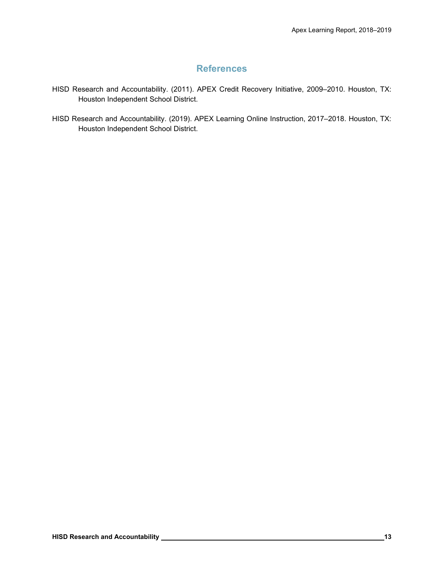# **References**

- HISD Research and Accountability. (2011). APEX Credit Recovery Initiative, 2009–2010. Houston, TX: Houston Independent School District.
- HISD Research and Accountability. (2019). APEX Learning Online Instruction, 2017–2018. Houston, TX: Houston Independent School District.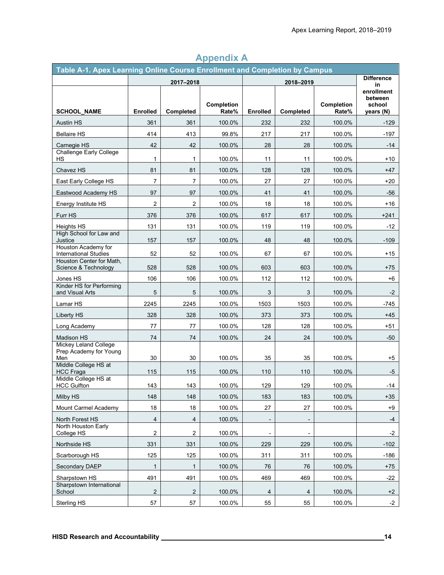| Table A-1. Apex Learning Online Course Enrollment and Completion by Campus |                 |                |                     |                 |                              |                            |                       |
|----------------------------------------------------------------------------|-----------------|----------------|---------------------|-----------------|------------------------------|----------------------------|-----------------------|
|                                                                            | 2017-2018       |                | 2018-2019           |                 |                              | <b>Difference</b><br>in    |                       |
|                                                                            |                 |                |                     |                 |                              |                            | enrollment<br>between |
| <b>SCHOOL NAME</b>                                                         | <b>Enrolled</b> | Completed      | Completion<br>Rate% | <b>Enrolled</b> | Completed                    | <b>Completion</b><br>Rate% | school<br>years (N)   |
| Austin HS                                                                  | 361             | 361            | 100.0%              | 232             | 232                          | 100.0%                     | $-129$                |
| <b>Bellaire HS</b>                                                         | 414             | 413            | 99.8%               | 217             | 217                          | 100.0%                     | -197                  |
| Carnegie HS                                                                | 42              | 42             | 100.0%              | 28              | 28                           | 100.0%                     | -14                   |
| <b>Challenge Early College</b><br>НS                                       | $\mathbf{1}$    | 1              | 100.0%              | 11              | 11                           | 100.0%                     | $+10$                 |
| Chavez HS                                                                  | 81              | 81             | 100.0%              | 128             | 128                          | 100.0%                     | $+47$                 |
| East Early College HS                                                      | $\overline{7}$  | $\overline{7}$ | 100.0%              | 27              | 27                           | 100.0%                     | $+20$                 |
| Eastwood Academy HS                                                        | 97              | 97             | 100.0%              | 41              | 41                           | 100.0%                     | $-56$                 |
| Energy Institute HS                                                        | $\overline{c}$  | $\overline{2}$ | 100.0%              | 18              | 18                           | 100.0%                     | +16                   |
| Furr HS                                                                    | 376             | 376            | 100.0%              | 617             | 617                          | 100.0%                     | $+241$                |
| Heights HS                                                                 | 131             | 131            | 100.0%              | 119             | 119                          | 100.0%                     | $-12$                 |
| High School for Law and<br>Justice                                         | 157             | 157            | 100.0%              | 48              | 48                           | 100.0%                     | $-109$                |
| Houston Academy for<br><b>International Studies</b>                        | 52              | 52             | 100.0%              | 67              | 67                           | 100.0%                     | $+15$                 |
| Houston Center for Math,<br>Science & Technology                           | 528             | 528            | 100.0%              | 603             | 603                          | 100.0%                     | $+75$                 |
| Jones HS                                                                   | 106             | 106            | 100.0%              | 112             | 112                          | 100.0%                     | $+6$                  |
| Kinder HS for Performing<br>and Visual Arts                                | 5               | 5              | 100.0%              | 3               | 3                            | 100.0%                     | -2                    |
| Lamar HS                                                                   | 2245            | 2245           | 100.0%              | 1503            | 1503                         | 100.0%                     | -745                  |
| Liberty HS                                                                 | 328             | 328            | 100.0%              | 373             | 373                          | 100.0%                     | $+45$                 |
| Long Academy                                                               | 77              | 77             | 100.0%              | 128             | 128                          | 100.0%                     | +51                   |
| Madison HS                                                                 | 74              | 74             | 100.0%              | 24              | 24                           | 100.0%                     | $-50$                 |
| Mickey Leland College<br>Prep Academy for Young<br>Men                     | 30              | 30             | 100.0%              | 35              | 35                           | 100.0%                     | $+5$                  |
| Middle College HS at<br><b>HCC Fraga</b>                                   | 115             | 115            | 100.0%              | 110             | 110                          | 100.0%                     | -5                    |
| Middle College HS at<br><b>HCC Gulfton</b>                                 | 143             | 143            | 100.0%              | 129             | 129                          | 100.0%                     | -14                   |
| Milby HS                                                                   | 148             | 148            | 100.0%              | 183             | 183                          | 100.0%                     | $+35$                 |
| Mount Carmel Academy                                                       | 18              | 18             | 100.0%              | 27              | 27                           | 100.0%                     | +9                    |
| North Forest HS                                                            | $\overline{4}$  | 4              | 100.0%              |                 | $\qquad \qquad \blacksquare$ |                            | $-4$                  |
| North Houston Early<br>College HS                                          | $\overline{c}$  | 2              | 100.0%              |                 |                              |                            | $-2$                  |
| Northside HS                                                               | 331             | 331            | 100.0%              | 229             | 229                          | 100.0%                     | $-102$                |
| Scarborough HS                                                             | 125             | 125            | 100.0%              | 311             | 311                          | 100.0%                     | $-186$                |
| Secondary DAEP                                                             | $\mathbf{1}$    | $\mathbf{1}$   | 100.0%              | 76              | 76                           | 100.0%                     | $+75$                 |
| Sharpstown HS                                                              | 491             | 491            | 100.0%              | 469             | 469                          | 100.0%                     | $-22$                 |
| Sharpstown International<br>School                                         | $\sqrt{2}$      | $\overline{c}$ | 100.0%              | 4               | $\overline{4}$               | 100.0%                     | $+2$                  |
| Sterling HS                                                                | 57              | 57             | 100.0%              | 55              | 55                           | 100.0%                     | $-2$                  |

# **Appendix A**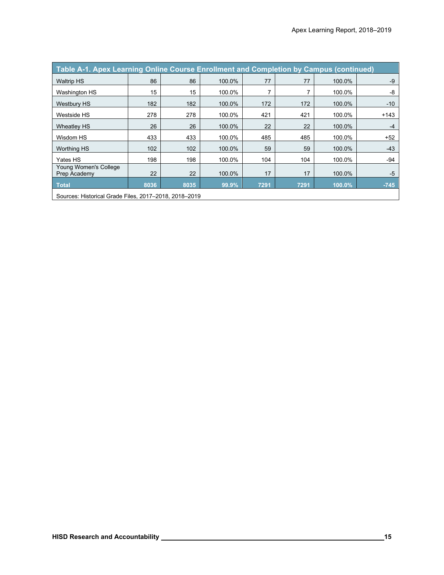| Table A-1. Apex Learning Online Course Enrollment and Completion by Campus (continued) |      |      |        |      |      |        |        |
|----------------------------------------------------------------------------------------|------|------|--------|------|------|--------|--------|
| <b>Waltrip HS</b>                                                                      | 86   | 86   | 100.0% | 77   | 77   | 100.0% | $-9$   |
| <b>Washington HS</b>                                                                   | 15   | 15   | 100.0% |      |      | 100.0% | -8     |
| <b>Westbury HS</b>                                                                     | 182  | 182  | 100.0% | 172  | 172  | 100.0% | $-10$  |
| Westside HS                                                                            | 278  | 278  | 100.0% | 421  | 421  | 100.0% | $+143$ |
| Wheatley HS                                                                            | 26   | 26   | 100.0% | 22   | 22   | 100.0% | $-4$   |
| Wisdom HS                                                                              | 433  | 433  | 100.0% | 485  | 485  | 100.0% | $+52$  |
| <b>Worthing HS</b>                                                                     | 102  | 102  | 100.0% | 59   | 59   | 100.0% | $-43$  |
| Yates HS                                                                               | 198  | 198  | 100.0% | 104  | 104  | 100.0% | -94    |
| Young Women's College<br>Prep Academy                                                  | 22   | 22   | 100.0% | 17   | 17   | 100.0% | $-5$   |
| <b>Total</b>                                                                           | 8036 | 8035 | 99.9%  | 7291 | 7291 | 100.0% | $-745$ |
| Sources: Historical Grade Files, 2017-2018, 2018-2019                                  |      |      |        |      |      |        |        |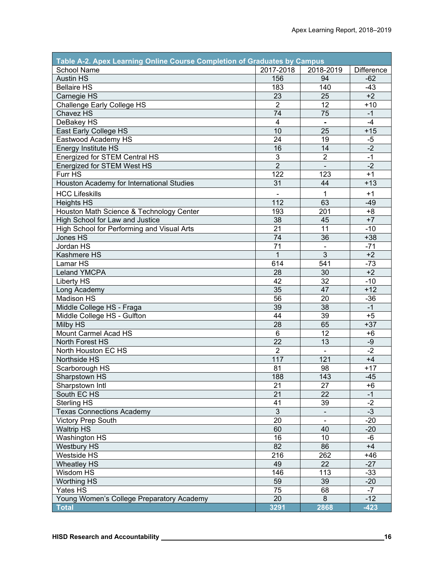| Table A-2. Apex Learning Online Course Completion of Graduates by Campus |                  |                |                   |  |  |  |
|--------------------------------------------------------------------------|------------------|----------------|-------------------|--|--|--|
| <b>School Name</b>                                                       | 2017-2018        | 2018-2019      | <b>Difference</b> |  |  |  |
| <b>Austin HS</b>                                                         | 156              | 94             | $-62$             |  |  |  |
| <b>Bellaire HS</b>                                                       | 183              | 140            | $-43$             |  |  |  |
| Carnegie HS                                                              | 23               | 25             | $+2$              |  |  |  |
| <b>Challenge Early College HS</b>                                        | $\overline{2}$   | 12             | $+10$             |  |  |  |
| Chavez HS                                                                | $\overline{74}$  | 75             | $-1$              |  |  |  |
| DeBakey HS                                                               | $\overline{4}$   | $\blacksquare$ | $-4$              |  |  |  |
| East Early College HS                                                    | 10               | 25             | $+15$             |  |  |  |
| Eastwood Academy HS                                                      | $\overline{24}$  | 19             | $-5$              |  |  |  |
| Energy Institute HS                                                      | 16               | 14             | $-2$              |  |  |  |
| Energized for STEM Central HS                                            | $\overline{3}$   | $\overline{2}$ | $-1$              |  |  |  |
| Energized for STEM West HS                                               | $\overline{2}$   | $\blacksquare$ | $-2$              |  |  |  |
| Furr HS                                                                  | $\overline{122}$ | 123            | $+1$              |  |  |  |
| Houston Academy for International Studies                                | $\overline{31}$  | 44             | $+13$             |  |  |  |
| <b>HCC Lifeskills</b>                                                    |                  | 1              | $+1$              |  |  |  |
| <b>Heights HS</b>                                                        | 112              | 63             | $-49$             |  |  |  |
| Houston Math Science & Technology Center                                 | 193              | 201            | $+8$              |  |  |  |
| High School for Law and Justice                                          | 38               | 45             | $+7$              |  |  |  |
| High School for Performing and Visual Arts                               | 21               | 11             | $-10$             |  |  |  |
| Jones HS                                                                 | 74               | 36             | $+38$             |  |  |  |
| Jordan HS                                                                | 71               |                | $-71$             |  |  |  |
| Kashmere HS                                                              | $\mathbf{1}$     | $\overline{3}$ | $+2$              |  |  |  |
| Lamar HS                                                                 | 614              | 541            | $-73$             |  |  |  |
| <b>Leland YMCPA</b>                                                      | 28               | 30             | $+2$              |  |  |  |
| Liberty HS                                                               | 42               | 32             | $-10$             |  |  |  |
| Long Academy                                                             | 35               | 47             | $+12$             |  |  |  |
| <b>Madison HS</b>                                                        | 56               | 20             | $-36$             |  |  |  |
| Middle College HS - Fraga                                                | 39               | 38             | $-1$              |  |  |  |
| Middle College HS - Gulfton                                              | 44               | 39             | $+5$              |  |  |  |
| Milby HS                                                                 | 28               | 65             | $+37$             |  |  |  |
| Mount Carmel Acad HS                                                     | $6\phantom{1}$   | 12             | $+6$              |  |  |  |
| North Forest HS                                                          | 22               | 13             | $-9$              |  |  |  |
| North Houston EC HS                                                      | $\overline{2}$   | $\blacksquare$ | $-2$              |  |  |  |
| Northside HS                                                             | 117              | 121            | $+4$              |  |  |  |
| Scarborough HS                                                           | 81               | 98             | $+17$             |  |  |  |
| Sharpstown HS                                                            | 188              | 143            | $-45$             |  |  |  |
| Sharpstown Intl                                                          | 21               | 27             | $+6$              |  |  |  |
| South EC HS                                                              | 21               | 22             | $-1$              |  |  |  |
| Sterling HS                                                              | 41               | 39             | $-2$              |  |  |  |
| <b>Texas Connections Academy</b>                                         | 3                |                | $-3$              |  |  |  |
| <b>Victory Prep South</b>                                                | 20               |                | $-20$             |  |  |  |
| <b>Waltrip HS</b>                                                        | 60               | 40             | $-20$             |  |  |  |
| <b>Washington HS</b>                                                     | 16               | 10             | -6                |  |  |  |
| <b>Westbury HS</b>                                                       | 82               | 86             | $+4$              |  |  |  |
| Westside HS                                                              | 216              | 262            | $+46$             |  |  |  |
| <b>Wheatley HS</b>                                                       | 49               | 22             | $-27$             |  |  |  |
| Wisdom HS                                                                | 146              | 113            | $-33$             |  |  |  |
| <b>Worthing HS</b>                                                       | 59               | 39             | $-20$             |  |  |  |
| Yates HS                                                                 | 75               | 68             | $-7$              |  |  |  |
| Young Women's College Preparatory Academy                                | 20               | 8              | $-12$             |  |  |  |
| <b>Total</b>                                                             | 3291             | 2868           | $-423$            |  |  |  |